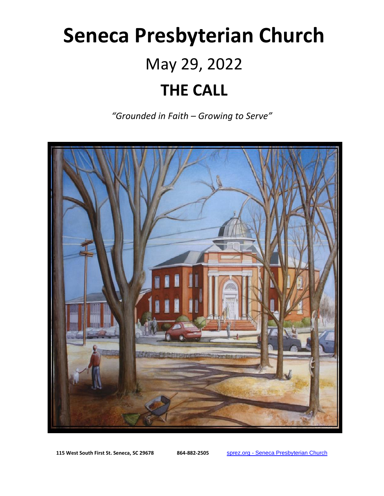# **Seneca Presbyterian Church** May 29, 2022 **THE CALL**

*"Grounded in Faith – Growing to Serve"*



**115 West South First St. Seneca, SC 29678 864-882-2505** sprez.org - [Seneca Presbyterian Church](https://sprez.org/)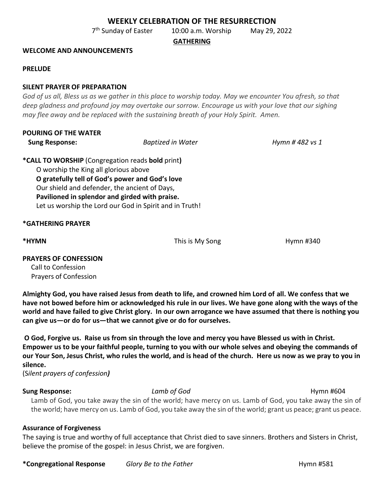## **WEEKLY CELEBRATION OF THE RESURRECTION**

7 th Sunday of Easter 10:00 a.m. Worship May 29, 2022

**GATHERING**

#### **WELCOME AND ANNOUNCEMENTS**

#### **PRELUDE**

#### **SILENT PRAYER OF PREPARATION**

*God of us all, Bless us as we gather in this place to worship today. May we encounter You afresh, so that deep gladness and profound joy may overtake our sorrow. Encourage us with your love that our sighing may flee away and be replaced with the sustaining breath of your Holy Spirit. Amen.*

| <b>POURING OF THE WATER</b> |                          |                 |
|-----------------------------|--------------------------|-----------------|
| <b>Sung Response:</b>       | <b>Baptized in Water</b> | Hymn # 482 vs 1 |
|                             |                          |                 |

**\*CALL TO WORSHIP** (Congregation reads **bold** print**)** O worship the King all glorious above **O gratefully tell of God's power and God's love** Our shield and defender, the ancient of Days, **Pavilioned in splendor and girded with praise.** Let us worship the Lord our God in Spirit and in Truth!

#### **\*GATHERING PRAYER**

**\*HYMN This is My Song The Hymn #340 Hymn #340** 

## **PRAYERS OF CONFESSION**

Call to Confession Prayers of Confession

**Almighty God, you have raised Jesus from death to life, and crowned him Lord of all. We confess that we have not bowed before him or acknowledged his rule in our lives. We have gone along with the ways of the world and have failed to give Christ glory. In our own arrogance we have assumed that there is nothing you can give us—or do for us—that we cannot give or do for ourselves.**

**O God, Forgive us. Raise us from sin through the love and mercy you have Blessed us with in Christ. Empower us to be your faithful people, turning to you with our whole selves and obeying the commands of our Your Son, Jesus Christ, who rules the world, and is head of the church. Here us now as we pray to you in silence.** 

(S*ilent prayers of confession)*

## **Sung Response: Lamb of God Hymn #604 Hymn #604**

Lamb of God, you take away the sin of the world; have mercy on us. Lamb of God, you take away the sin of the world; have mercy on us. Lamb of God, you take away the sin of the world; grant us peace; grant us peace.

## **Assurance of Forgiveness**

The saying is true and worthy of full acceptance that Christ died to save sinners. Brothers and Sisters in Christ, believe the promise of the gospel: in Jesus Christ, we are forgiven.

**\*Congregational Response** *Glory Be to the Father* **Example 20 and Hymn #581**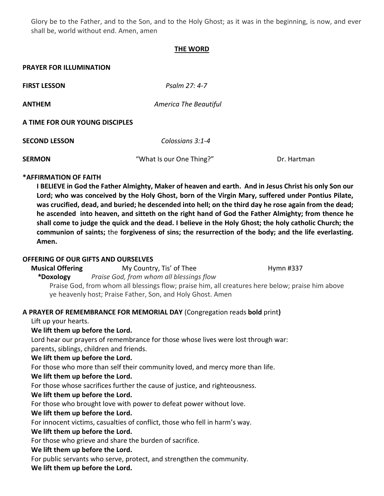Glory be to the Father, and to the Son, and to the Holy Ghost; as it was in the beginning, is now, and ever shall be, world without end. Amen, amen

## **THE WORD**

### **PRAYER FOR ILLUMINATION**

**FIRST LESSON** *Psalm 27: 4-7*

**ANTHEM** *America The Beautiful*

#### **A TIME FOR OUR YOUNG DISCIPLES**

| <b>SECOND LESSON</b> | Colossians 3:1-4         |             |
|----------------------|--------------------------|-------------|
| <b>SERMON</b>        | "What Is our One Thing?" | Dr. Hartman |

## **\*AFFIRMATION OF FAITH**

**I BELIEVE in God the Father Almighty, Maker of heaven and earth. And in Jesus Christ his only Son our Lord; who was conceived by the Holy Ghost, born of the Virgin Mary, suffered under Pontius Pilate, was crucified, dead, and buried; he descended into hell; on the third day he rose again from the dead; he ascended into heaven, and sitteth on the right hand of God the Father Almighty; from thence he shall come to judge the quick and the dead. I believe in the Holy Ghost; the holy catholic Church; the communion of saints;** the **forgiveness of sins; the resurrection of the body; and the life everlasting. Amen.** 

## **OFFERING OF OUR GIFTS AND OURSELVES**

**Musical Offering The Country, Tis' of Thee Hymn #337 \*Doxology** *Praise God, from whom all blessings flow*

Praise God, from whom all blessings flow; praise him, all creatures here below; praise him above ye heavenly host; Praise Father, Son, and Holy Ghost. Amen

## **A PRAYER OF REMEMBRANCE FOR MEMORIAL DAY** (Congregation reads **bold** print**)**

Lift up your hearts.

## **We lift them up before the Lord.**

 Lord hear our prayers of remembrance for those whose lives were lost through war: parents, siblings, children and friends.

## **We lift them up before the Lord.**

For those who more than self their community loved, and mercy more than life.

## **We lift them up before the Lord.**

For those whose sacrifices further the cause of justice, and righteousness.

## **We lift them up before the Lord.**

For those who brought love with power to defeat power without love.

## **We lift them up before the Lord.**

For innocent victims, casualties of conflict, those who fell in harm's way.

## **We lift them up before the Lord.**

For those who grieve and share the burden of sacrifice.

## **We lift them up before the Lord.**

For public servants who serve, protect, and strengthen the community.

## **We lift them up before the Lord.**